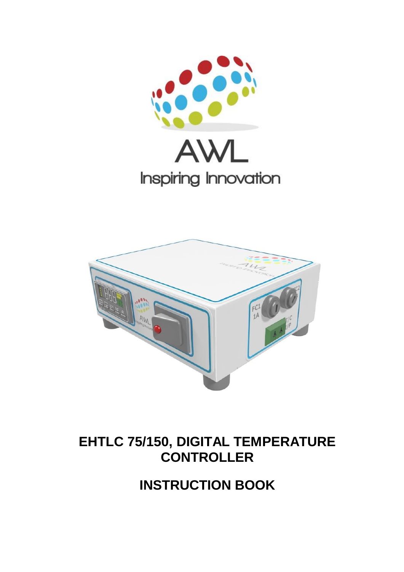



## **EHTLC 75/150, DIGITAL TEMPERATURE CONTROLLER**

**INSTRUCTION BOOK**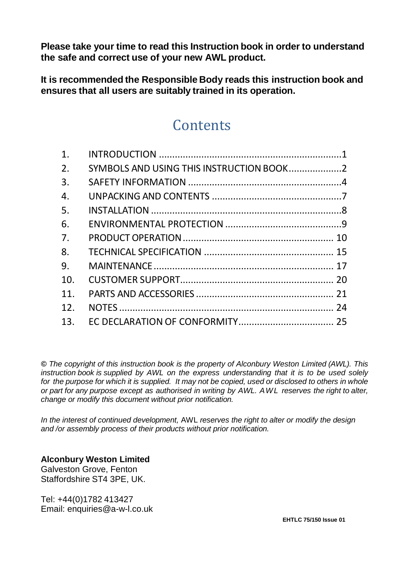**Please take your time to read this Instruction book in order to understand the safe and correct use of your new AWL product.**

**It is recommended the Responsible Body reads this instruction book and ensures that all users are suitably trained in its operation.**

## **Contents**

| 1.             |                                          |  |
|----------------|------------------------------------------|--|
| 2.             | SYMBOLS AND USING THIS INSTRUCTION BOOK2 |  |
| 3.             |                                          |  |
| 4.             |                                          |  |
| 5.             |                                          |  |
| 6.             |                                          |  |
| 7 <sub>1</sub> |                                          |  |
| 8.             |                                          |  |
| 9.             |                                          |  |
| 10.            |                                          |  |
| 11.            |                                          |  |
| 12.            |                                          |  |
| 13.            |                                          |  |

*© The copyright of this instruction book is the property of Alconbury Weston Limited (AWL). This instruction book is supplied by AWL on the express understanding that it is to be used solely for the purpose for which it is supplied. It may not be copied, used or disclosed to others in whole or part for any purpose except as authorised in writing by AWL. AWL reserves the right to alter, change or modify this document without prior notification.*

*In the interest of continued development,* AWL *reserves the right to alter or modify the design and /or assembly process of their products without prior notification.*

**Alconbury Weston Limited**

Galveston Grove, Fenton Staffordshire ST4 3PF, UK.

Tel: +44(0)1782 413427 Email: enquiries@a-w-l.co.uk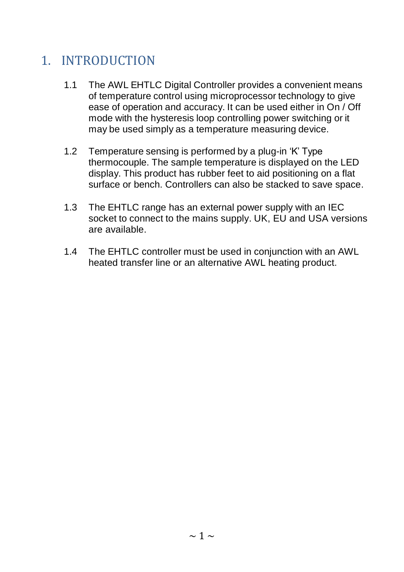## <span id="page-2-0"></span>1. INTRODUCTION

- 1.1 The AWL EHTLC Digital Controller provides a convenient means of temperature control using microprocessor technology to give ease of operation and accuracy. It can be used either in On / Off mode with the hysteresis loop controlling power switching or it may be used simply as a temperature measuring device.
- 1.2 Temperature sensing is performed by a plug-in 'K' Type thermocouple. The sample temperature is displayed on the LED display. This product has rubber feet to aid positioning on a flat surface or bench. Controllers can also be stacked to save space.
- 1.3 The EHTLC range has an external power supply with an IEC socket to connect to the mains supply. UK, EU and USA versions are available.
- 1.4 The EHTLC controller must be used in conjunction with an AWL heated transfer line or an alternative AWL heating product.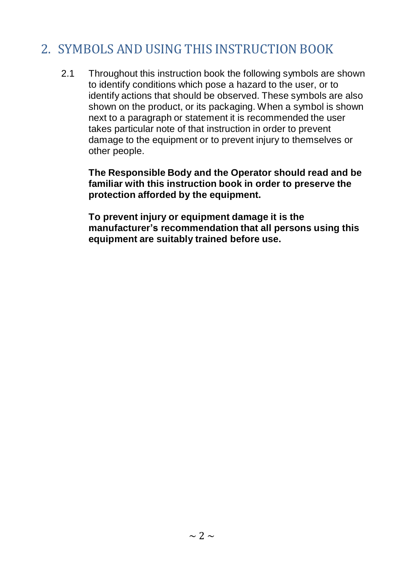## <span id="page-3-0"></span>2. SYMBOLS AND USING THIS INSTRUCTION BOOK

2.1 Throughout this instruction book the following symbols are shown to identify conditions which pose a hazard to the user, or to identify actions that should be observed. These symbols are also shown on the product, or its packaging. When a symbol is shown next to a paragraph or statement it is recommended the user takes particular note of that instruction in order to prevent damage to the equipment or to prevent injury to themselves or other people.

**The Responsible Body and the Operator should read and be familiar with this instruction book in order to preserve the protection afforded by the equipment.**

**To prevent injury or equipment damage it is the manufacturer's recommendation that all persons using this equipment are suitably trained before use.**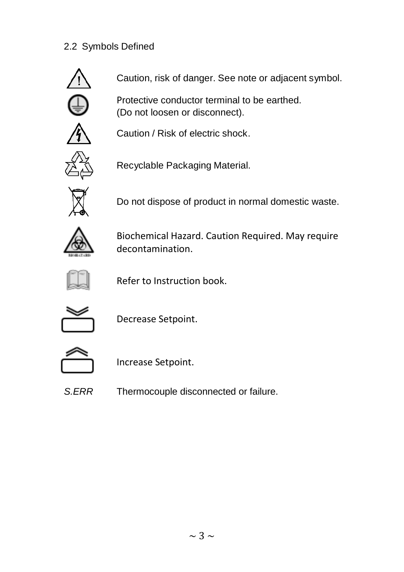### 2.2 Symbols Defined



Caution, risk of danger. See note or adjacent symbol.

Protective conductor terminal to be earthed. (Do not loosen or disconnect).



Caution / Risk of electric shock.



Recyclable Packaging Material.



Do not dispose of product in normal domestic waste.



Biochemical Hazard. Caution Required. May require decontamination.



Refer to Instruction book.



Decrease Setpoint.



Increase Setpoint.

*S.ERR* Thermocouple disconnected or failure.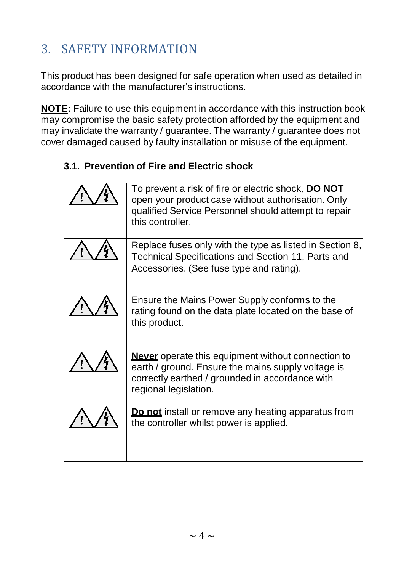# <span id="page-5-0"></span>3. SAFETY INFORMATION

This product has been designed for safe operation when used as detailed in accordance with the manufacturer's instructions.

**NOTE:** Failure to use this equipment in accordance with this instruction book may compromise the basic safety protection afforded by the equipment and may invalidate the warranty / guarantee. The warranty / guarantee does not cover damaged caused by faulty installation or misuse of the equipment.

### **3.1. Prevention of Fire and Electric shock**

| To prevent a risk of fire or electric shock, DO NOT<br>open your product case without authorisation. Only<br>qualified Service Personnel should attempt to repair<br>this controller.       |
|---------------------------------------------------------------------------------------------------------------------------------------------------------------------------------------------|
| Replace fuses only with the type as listed in Section 8,<br>Technical Specifications and Section 11, Parts and<br>Accessories. (See fuse type and rating).                                  |
| Ensure the Mains Power Supply conforms to the<br>rating found on the data plate located on the base of<br>this product.                                                                     |
| <b>Never</b> operate this equipment without connection to<br>earth / ground. Ensure the mains supply voltage is<br>correctly earthed / grounded in accordance with<br>regional legislation. |
| Do not install or remove any heating apparatus from<br>the controller whilst power is applied.                                                                                              |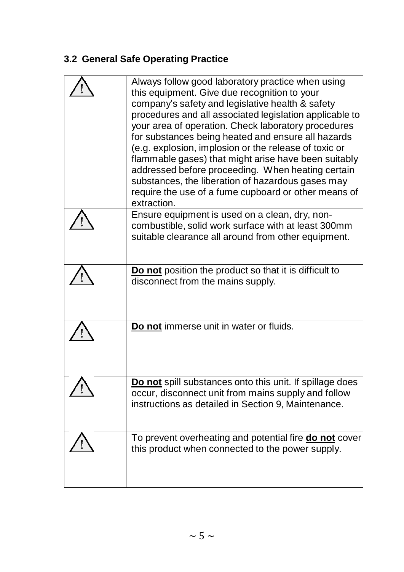## **3.2 General Safe Operating Practice**

| Always follow good laboratory practice when using<br>this equipment. Give due recognition to your<br>company's safety and legislative health & safety<br>procedures and all associated legislation applicable to<br>your area of operation. Check laboratory procedures<br>for substances being heated and ensure all hazards<br>(e.g. explosion, implosion or the release of toxic or<br>flammable gases) that might arise have been suitably<br>addressed before proceeding. When heating certain<br>substances, the liberation of hazardous gases may<br>require the use of a fume cupboard or other means of<br>extraction. |
|---------------------------------------------------------------------------------------------------------------------------------------------------------------------------------------------------------------------------------------------------------------------------------------------------------------------------------------------------------------------------------------------------------------------------------------------------------------------------------------------------------------------------------------------------------------------------------------------------------------------------------|
| Ensure equipment is used on a clean, dry, non-<br>combustible, solid work surface with at least 300mm<br>suitable clearance all around from other equipment.                                                                                                                                                                                                                                                                                                                                                                                                                                                                    |
| Do not position the product so that it is difficult to<br>disconnect from the mains supply.                                                                                                                                                                                                                                                                                                                                                                                                                                                                                                                                     |
| Do not immerse unit in water or fluids.                                                                                                                                                                                                                                                                                                                                                                                                                                                                                                                                                                                         |
| Do not spill substances onto this unit. If spillage does<br>occur, disconnect unit from mains supply and follow<br>instructions as detailed in Section 9, Maintenance.                                                                                                                                                                                                                                                                                                                                                                                                                                                          |
| To prevent overheating and potential fire do not cover<br>this product when connected to the power supply.                                                                                                                                                                                                                                                                                                                                                                                                                                                                                                                      |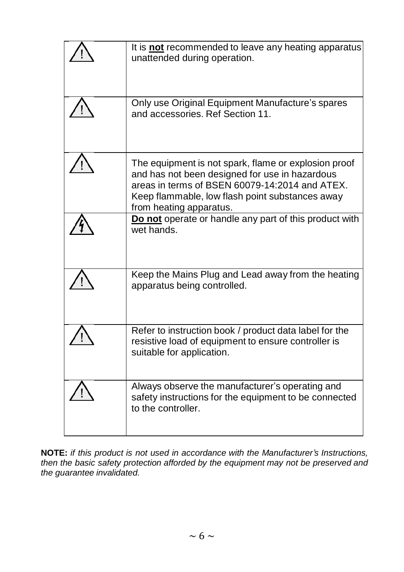| It is <b>not</b> recommended to leave any heating apparatus<br>unattended during operation.                                                                                                                                            |
|----------------------------------------------------------------------------------------------------------------------------------------------------------------------------------------------------------------------------------------|
| Only use Original Equipment Manufacture's spares<br>and accessories. Ref Section 11.                                                                                                                                                   |
| The equipment is not spark, flame or explosion proof<br>and has not been designed for use in hazardous<br>areas in terms of BSEN 60079-14:2014 and ATEX.<br>Keep flammable, low flash point substances away<br>from heating apparatus. |
| Do not operate or handle any part of this product with<br>wet hands.                                                                                                                                                                   |
| Keep the Mains Plug and Lead away from the heating<br>apparatus being controlled.                                                                                                                                                      |
| Refer to instruction book / product data label for the<br>resistive load of equipment to ensure controller is<br>suitable for application.                                                                                             |
| Always observe the manufacturer's operating and<br>safety instructions for the equipment to be connected<br>to the controller.                                                                                                         |

**NOTE:** *if this product is not used in accordance with the Manufacturer's Instructions, then the basic safety protection afforded by the equipment may not be preserved and the guarantee invalidated.*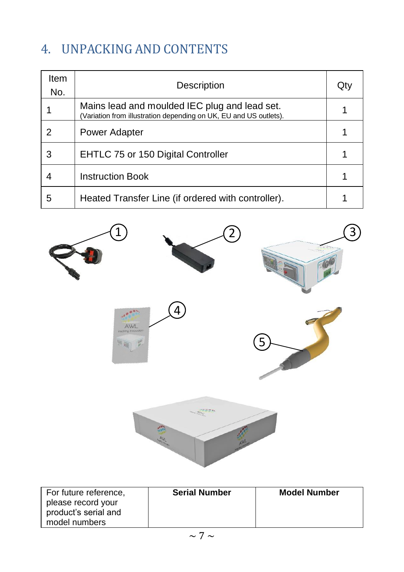# <span id="page-8-0"></span>4. UNPACKING AND CONTENTS

| Item<br>No. | Description                                                                                                        | Qt |
|-------------|--------------------------------------------------------------------------------------------------------------------|----|
|             | Mains lead and moulded IEC plug and lead set.<br>(Variation from illustration depending on UK, EU and US outlets). |    |
| 2           | Power Adapter                                                                                                      |    |
| 3           | EHTLC 75 or 150 Digital Controller                                                                                 |    |
| 4           | <b>Instruction Book</b>                                                                                            |    |
| 5           | Heated Transfer Line (if ordered with controller).                                                                 |    |



| For future reference,<br>please record your | <b>Serial Number</b> | <b>Model Number</b> |
|---------------------------------------------|----------------------|---------------------|
| product's serial and<br>model numbers       |                      |                     |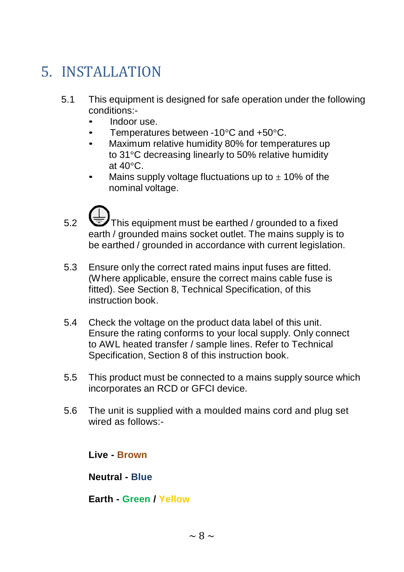# <span id="page-9-0"></span>5. INSTALLATION

- 5.1 This equipment is designed for safe operation under the following conditions:-
	- Indoor use.
	- Temperatures between -10°C and +50°C.
	- Maximum relative humidity 80% for temperatures up to 31°C decreasing linearly to 50% relative humidity at  $40^{\circ}$ C.
	- Mains supply voltage fluctuations up to  $\pm$  10% of the nominal voltage.
- 5.2 This equipment must be earthed / grounded to a fixed earth / grounded mains socket outlet. The mains supply is to be earthed / grounded in accordance with current legislation.
- 5.3 Ensure only the correct rated mains input fuses are fitted. (Where applicable, ensure the correct mains cable fuse is fitted). See Section 8, Technical Specification, of this instruction book.
- 5.4 Check the voltage on the product data label of this unit. Ensure the rating conforms to your local supply. Only connect to AWL heated transfer / sample lines. Refer to Technical Specification, Section 8 of this instruction book.
- 5.5 This product must be connected to a mains supply source which incorporates an RCD or GFCI device.
- 5.6 The unit is supplied with a moulded mains cord and plug set wired as follows:-

**Live - Brown**

**Neutral - Blue**

**Earth - Green / Yellow**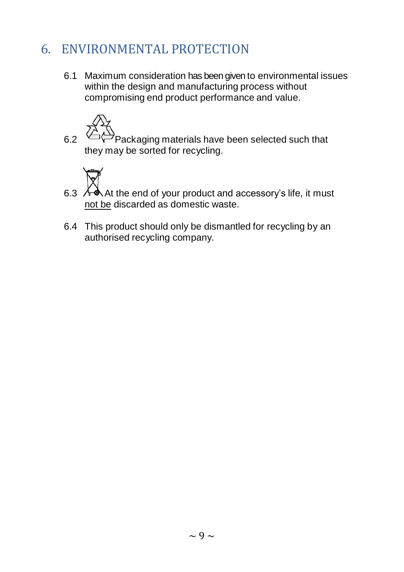## <span id="page-10-0"></span>6. ENVIRONMENTAL PROTECTION

6.1 Maximum consideration has been given to environmental issues within the design and manufacturing process without compromising end product performance and value.



6.2  $\bigoplus$ Packaging materials have been selected such that they may be sorted for recycling.



- 6.3 AA At the end of your product and accessory's life, it must not be discarded as domestic waste.
- 6.4 This product should only be dismantled for recycling by an authorised recycling company.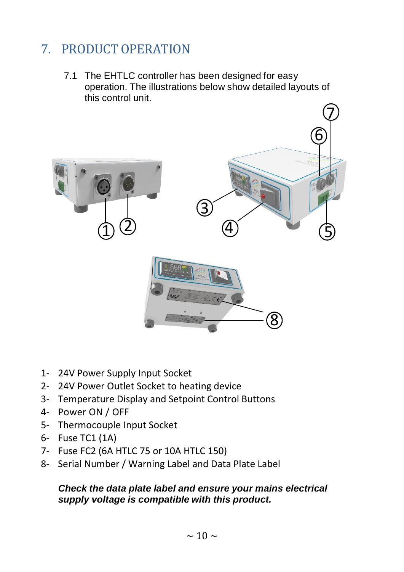## <span id="page-11-0"></span>7. PRODUCT OPERATION

7.1 The EHTLC controller has been designed for easy operation. The illustrations below show detailed layouts of this control unit.



- 1- 24V Power Supply Input Socket
- 2- 24V Power Outlet Socket to heating device
- 3- Temperature Display and Setpoint Control Buttons
- 4- Power ON / OFF
- 5- Thermocouple Input Socket
- 6- Fuse TC1 (1A)
- 7- Fuse FC2 (6A HTLC 75 or 10A HTLC 150)
- 8- Serial Number / Warning Label and Data Plate Label

#### *Check the data plate label and ensure your mains electrical supply voltage is compatible with this product.*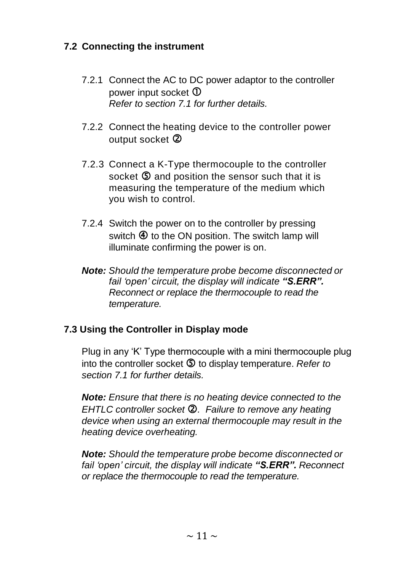### **7.2 Connecting the instrument**

- 7.2.1 Connect the AC to DC power adaptor to the controller power input socket  $\Phi$ *Refer to section 7.1 for further details.*
- 7.2.2 Connect the heating device to the controller power output socket 2
- 7.2.3 Connect a K-Type thermocouple to the controller socket  $\Phi$  and position the sensor such that it is measuring the temperature of the medium which you wish to control.
- 7.2.4 Switch the power on to the controller by pressing switch  $\Phi$  to the ON position. The switch lamp will illuminate confirming the power is on.
- *Note: Should the temperature probe become disconnected or fail 'open' circuit, the display will indicate "S.ERR". Reconnect or replace the thermocouple to read the temperature.*

#### **7.3 Using the Controller in Display mode**

Plug in any 'K' Type thermocouple with a mini thermocouple plug into the controller socket  $\circledS$  to display temperature. *Refer to section 7.1 for further details.*

*Note: Ensure that there is no heating device connected to the EHTLC controller socket . Failure to remove any heating device when using an external thermocouple may result in the heating device overheating.* 

*Note: Should the temperature probe become disconnected or fail 'open' circuit, the display will indicate "S.ERR". Reconnect or replace the thermocouple to read the temperature.*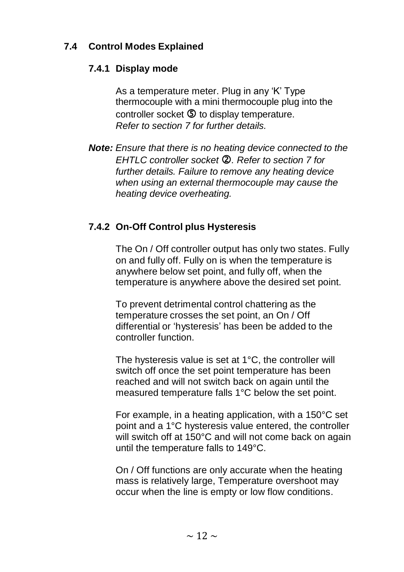### **7.4 Control Modes Explained**

#### **7.4.1 Display mode**

As a temperature meter. Plug in any 'K' Type thermocouple with a mini thermocouple plug into the controller socket  $\mathbb G$  to display temperature. *Refer to section 7 for further details.*

*Note: Ensure that there is no heating device connected to the EHTLC controller socket . Refer to section 7 for further details. Failure to remove any heating device when using an external thermocouple may cause the heating device overheating.* 

### **7.4.2 On-Off Control plus Hysteresis**

The On / Off controller output has only two states. Fully on and fully off. Fully on is when the temperature is anywhere below set point, and fully off, when the temperature is anywhere above the desired set point.

To prevent detrimental control chattering as the temperature crosses the set point, an On / Off differential or 'hysteresis' has been be added to the controller function.

The hysteresis value is set at 1°C, the controller will switch off once the set point temperature has been reached and will not switch back on again until the measured temperature falls 1°C below the set point.

For example, in a heating application, with a 150°C set point and a 1°C hysteresis value entered, the controller will switch off at 150°C and will not come back on again until the temperature falls to 149°C.

On / Off functions are only accurate when the heating mass is relatively large, Temperature overshoot may occur when the line is empty or low flow conditions.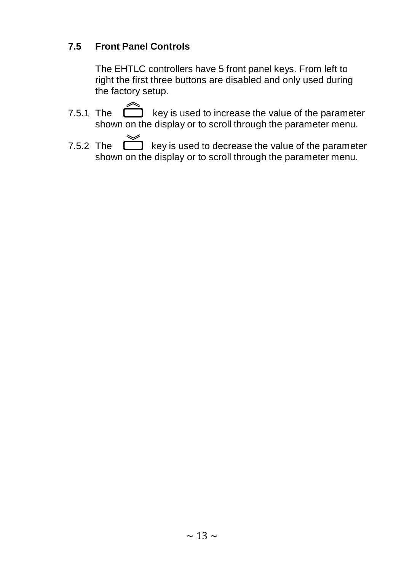### **7.5 Front Panel Controls**

The EHTLC controllers have 5 front panel keys. From left to right the first three buttons are disabled and only used during the factory setup.

- 7.5.1 The  $\Box$  key is used to increase the value of the parameter shown on the display or to scroll through the parameter menu.
- 7.5.2 The  $\sum_{n=1}^{\infty}$  key is used to decrease the value of the parameter shown on the display or to scroll through the parameter menu.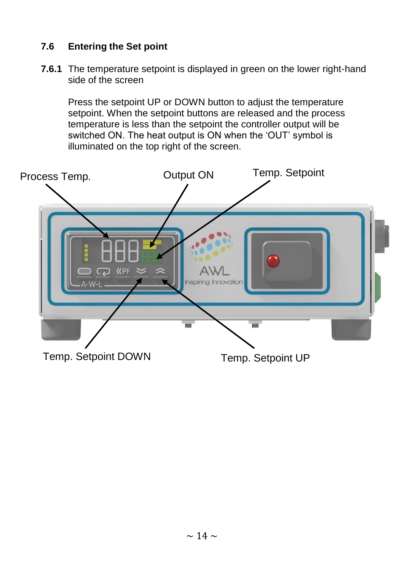### **7.6 Entering the Set point**

**7.6.1** The temperature setpoint is displayed in green on the lower right-hand side of the screen

Press the setpoint UP or DOWN button to adjust the temperature setpoint. When the setpoint buttons are released and the process temperature is less than the setpoint the controller output will be switched ON. The heat output is ON when the 'OUT' symbol is illuminated on the top right of the screen.

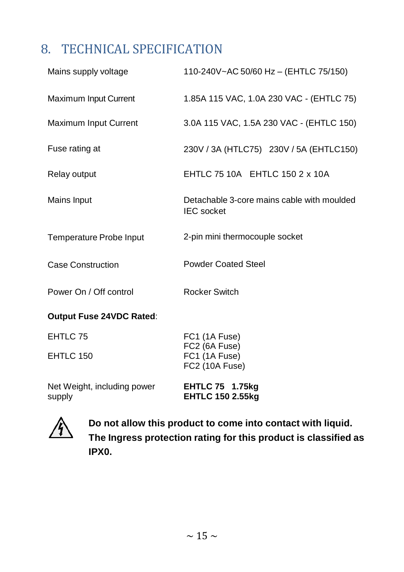## <span id="page-16-0"></span>8. TECHNICAL SPECIFICATION

| Mains supply voltage                  | 110-240V~AC 50/60 Hz - (EHTLC 75/150)                           |  |  |  |
|---------------------------------------|-----------------------------------------------------------------|--|--|--|
| Maximum Input Current                 | 1.85A 115 VAC, 1.0A 230 VAC - (EHTLC 75)                        |  |  |  |
| Maximum Input Current                 | 3.0A 115 VAC, 1.5A 230 VAC - (EHTLC 150)                        |  |  |  |
| Fuse rating at                        | 230V / 3A (HTLC75) 230V / 5A (EHTLC150)                         |  |  |  |
| Relay output                          | EHTLC 75 10A EHTLC 150 2 x 10A                                  |  |  |  |
| Mains Input                           | Detachable 3-core mains cable with moulded<br><b>IEC</b> socket |  |  |  |
| Temperature Probe Input               | 2-pin mini thermocouple socket                                  |  |  |  |
| <b>Case Construction</b>              | <b>Powder Coated Steel</b>                                      |  |  |  |
| Power On / Off control                | <b>Rocker Switch</b>                                            |  |  |  |
| Output Fuse 24VDC Rated:              |                                                                 |  |  |  |
| EHTLC 75                              | FC1 (1A Fuse)<br>FC2 (6A Fuse)                                  |  |  |  |
| EHTLC 150                             | FC1 (1A Fuse)<br>FC2 (10A Fuse)                                 |  |  |  |
| Net Weight, including power<br>supply | <b>EHTLC 75 1.75kg</b><br><b>EHTLC 150 2.55kg</b>               |  |  |  |



**Do not allow this product to come into contact with liquid. The Ingress protection rating for this product is classified as IPX0.**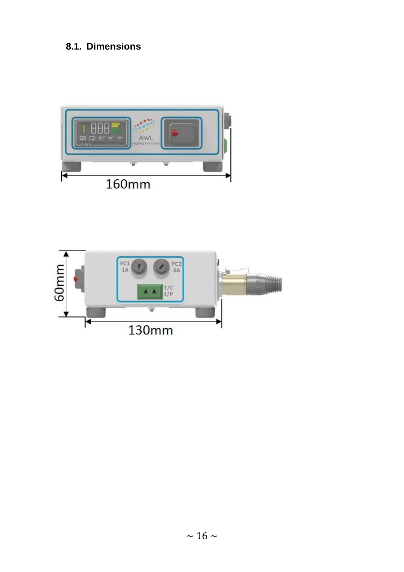### **8.1. Dimensions**



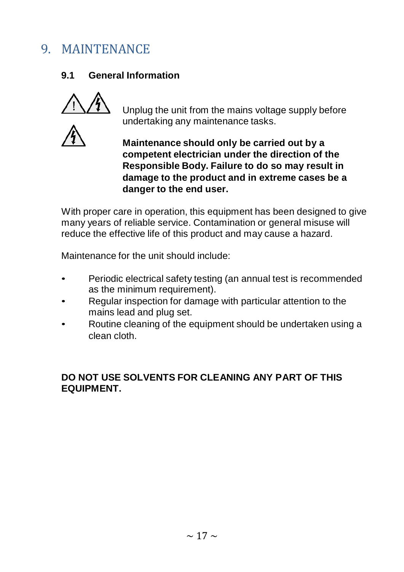## <span id="page-18-0"></span>9. MAINTENANCE

### **9.1 General Information**





Unplug the unit from the mains voltage supply before undertaking any maintenance tasks.

**Maintenance should only be carried out by a competent electrician under the direction of the Responsible Body. Failure to do so may result in damage to the product and in extreme cases be a danger to the end user.**

With proper care in operation, this equipment has been designed to give many years of reliable service. Contamination or general misuse will reduce the effective life of this product and may cause a hazard.

Maintenance for the unit should include:

- Periodic electrical safety testing (an annual test is recommended as the minimum requirement).
- Regular inspection for damage with particular attention to the mains lead and plug set.
- Routine cleaning of the equipment should be undertaken using a clean cloth.

#### **DO NOT USE SOLVENTS FOR CLEANING ANY PART OF THIS EQUIPMENT.**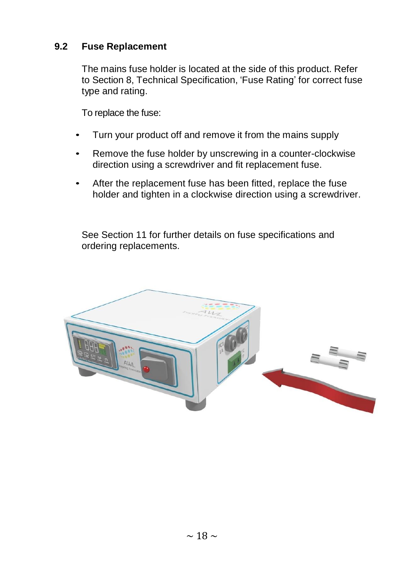#### **9.2 Fuse Replacement**

The mains fuse holder is located at the side of this product. Refer to Section 8, Technical Specification, 'Fuse Rating' for correct fuse type and rating.

To replace the fuse:

- Turn your product off and remove it from the mains supply
- Remove the fuse holder by unscrewing in a counter-clockwise direction using a screwdriver and fit replacement fuse.
- After the replacement fuse has been fitted, replace the fuse holder and tighten in a clockwise direction using a screwdriver.

See Section 11 for further details on fuse specifications and ordering replacements.

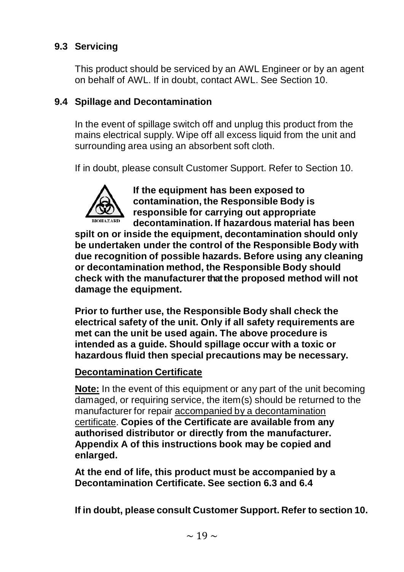### **9.3 Servicing**

This product should be serviced by an AWL Engineer or by an agent on behalf of AWL. If in doubt, contact AWL. See Section 10.

#### **9.4 Spillage and Decontamination**

In the event of spillage switch off and unplug this product from the mains electrical supply. Wipe off all excess liquid from the unit and surrounding area using an absorbent soft cloth.

If in doubt, please consult Customer Support. Refer to Section 10.



**If the equipment has been exposed to contamination, the Responsible Body is responsible for carrying out appropriate decontamination. If hazardous material has been**

**spilt on or inside the equipment, decontamination should only be undertaken under the control of the Responsible Body with due recognition of possible hazards. Before using any cleaning or decontamination method, the Responsible Body should check with the manufacturer that the proposed method will not damage the equipment.**

**Prior to further use, the Responsible Body shall check the electrical safety of the unit. Only if all safety requirements are met can the unit be used again. The above procedure is intended as a guide. Should spillage occur with a toxic or hazardous fluid then special precautions may be necessary.**

#### **Decontamination Certificate**

**Note:** In the event of this equipment or any part of the unit becoming damaged, or requiring service, the item(s) should be returned to the manufacturer for repair accompanied by a decontamination certificate. **Copies of the Certificate are available from any authorised distributor or directly from the manufacturer. Appendix A of this instructions book may be copied and enlarged.**

**At the end of life, this product must be accompanied by a Decontamination Certificate. See section 6.3 and 6.4**

**If in doubt, please consult Customer Support. Refer to section 10.**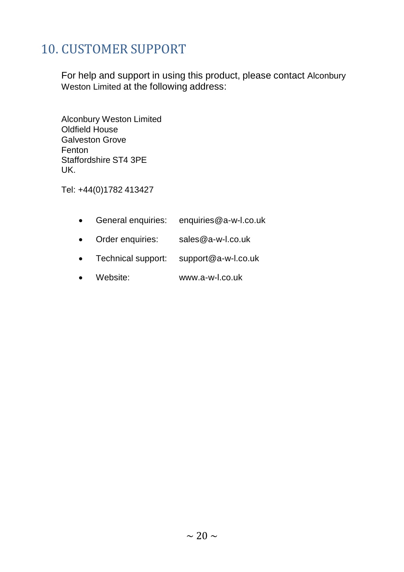## <span id="page-21-0"></span>10. CUSTOMER SUPPORT

For help and support in using this product, please contact Alconbury Weston Limited at the following address:

Alconbury Weston Limited Oldfield House Galveston Grove Fenton Staffordshire ST4 3PE UK.

Tel: +44(0)1782 413427

| General enquiries: | enquiries@a-w-l.co.uk |
|--------------------|-----------------------|
| Order enquiries:   | sales@a-w-l.co.uk     |
| Technical support: | support@a-w-l.co.uk   |
|                    |                       |

• Website: www.a-w-l.co.uk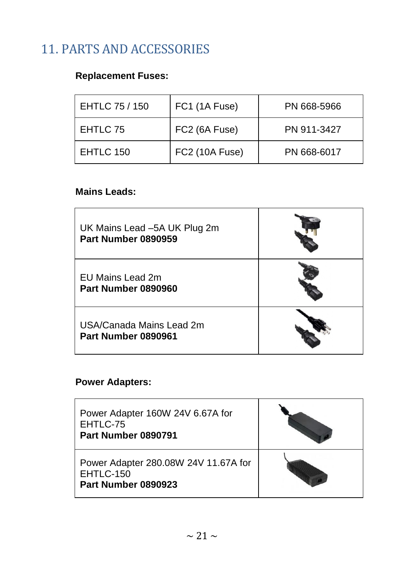## <span id="page-22-0"></span>11. PARTS AND ACCESSORIES

### **Replacement Fuses:**

| EHTLC 75 / 150 | FC1 (1A Fuse)  | PN 668-5966 |
|----------------|----------------|-------------|
| EHTLC 75       | FC2 (6A Fuse)  | PN 911-3427 |
| EHTLC 150      | FC2 (10A Fuse) | PN 668-6017 |

#### **Mains Leads:**

| UK Mains Lead -5A UK Plug 2m<br>Part Number 0890959 |  |
|-----------------------------------------------------|--|
| EU Mains Lead 2m<br>Part Number 0890960             |  |
| USA/Canada Mains Lead 2m<br>Part Number 0890961     |  |

### **Power Adapters:**

| Power Adapter 160W 24V 6.67A for<br>EHTLC-75<br>Part Number 0890791        |  |
|----------------------------------------------------------------------------|--|
| Power Adapter 280.08W 24V 11.67A for<br>$EHTLC-150$<br>Part Number 0890923 |  |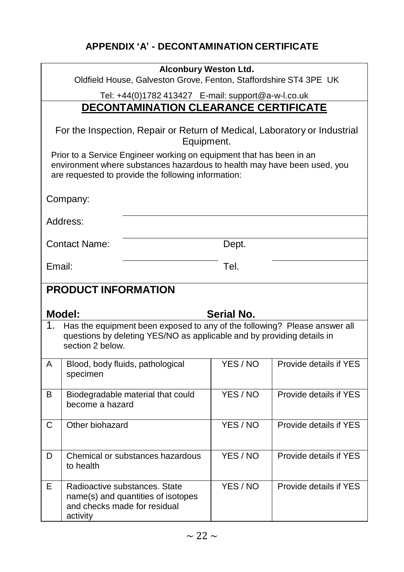### **APPENDIX 'A' - DECONTAMINATION CERTIFICATE**

| <b>Alconbury Weston Ltd.</b><br>Oldfield House, Galveston Grove, Fenton, Staffordshire ST4 3PE UK                                                                                                                                                                                                  |                            |                                                                                                     |                   |                        |
|----------------------------------------------------------------------------------------------------------------------------------------------------------------------------------------------------------------------------------------------------------------------------------------------------|----------------------------|-----------------------------------------------------------------------------------------------------|-------------------|------------------------|
|                                                                                                                                                                                                                                                                                                    |                            | Tel: +44(0)1782 413427    E-mail: support@a-w-l.co.uk                                               |                   |                        |
|                                                                                                                                                                                                                                                                                                    |                            | <b>DECONTAMINATION CLEARANCE CERTIFICATE</b>                                                        |                   |                        |
| For the Inspection, Repair or Return of Medical, Laboratory or Industrial<br>Equipment.<br>Prior to a Service Engineer working on equipment that has been in an<br>environment where substances hazardous to health may have been used, you<br>are requested to provide the following information: |                            |                                                                                                     |                   |                        |
|                                                                                                                                                                                                                                                                                                    | Company:                   |                                                                                                     |                   |                        |
|                                                                                                                                                                                                                                                                                                    | Address:                   |                                                                                                     |                   |                        |
|                                                                                                                                                                                                                                                                                                    | Contact Name:              |                                                                                                     | Dept.             |                        |
| Email:                                                                                                                                                                                                                                                                                             |                            |                                                                                                     | Tel.              |                        |
|                                                                                                                                                                                                                                                                                                    | <b>PRODUCT INFORMATION</b> |                                                                                                     |                   |                        |
|                                                                                                                                                                                                                                                                                                    | Model:                     |                                                                                                     | <b>Serial No.</b> |                        |
| Has the equipment been exposed to any of the following? Please answer all<br>1.<br>questions by deleting YES/NO as applicable and by providing details in<br>section 2 below.                                                                                                                      |                            |                                                                                                     |                   |                        |
| A                                                                                                                                                                                                                                                                                                  | specimen                   | Blood, body fluids, pathological                                                                    | YES / NO          | Provide details if YES |
| B                                                                                                                                                                                                                                                                                                  | become a hazard            | Biodegradable material that could                                                                   | YES / NO          | Provide details if YES |
| С                                                                                                                                                                                                                                                                                                  | Other biohazard            |                                                                                                     | YES/NO            | Provide details if YES |
| D                                                                                                                                                                                                                                                                                                  | to health                  | Chemical or substances hazardous                                                                    | YES / NO          | Provide details if YES |
| Е                                                                                                                                                                                                                                                                                                  | activity                   | Radioactive substances. State<br>name(s) and quantities of isotopes<br>and checks made for residual | YES / NO          | Provide details if YES |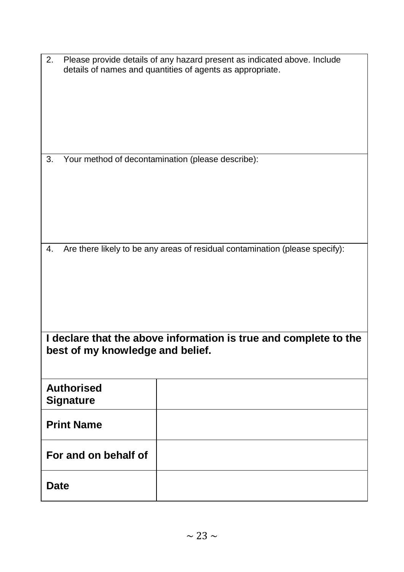| 2. Please provide details of any hazard present as indicated above. Include |
|-----------------------------------------------------------------------------|
| details of names and quantities of agents as appropriate.                   |

3. Your method of decontamination (please describe):

4. Are there likely to be any areas of residual contamination (please specify):

| I declare that the above information is true and complete to the |
|------------------------------------------------------------------|
| best of my knowledge and belief.                                 |

| <b>Authorised</b><br><b>Signature</b> |  |
|---------------------------------------|--|
| <b>Print Name</b>                     |  |
| For and on behalf of                  |  |
| <b>Date</b>                           |  |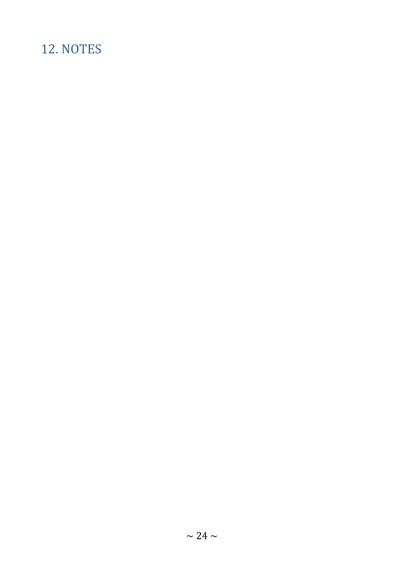## <span id="page-25-0"></span>12. NOTES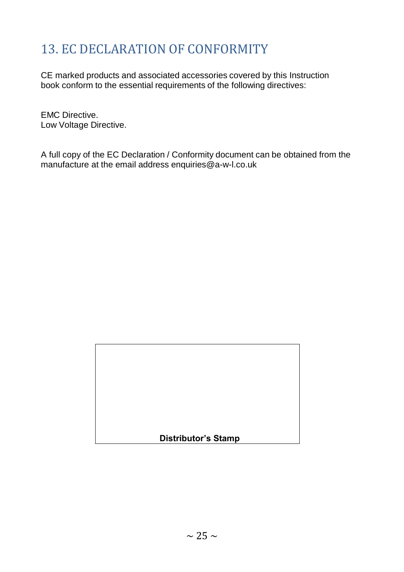## <span id="page-26-0"></span>13. EC DECLARATION OF CONFORMITY

CE marked products and associated accessories covered by this Instruction book conform to the essential requirements of the following directives:

EMC Directive. Low Voltage Directive.

A full copy of the EC Declaration / Conformity document can be obtained from the manufacture at the email address enquiries@a-w-l.co.uk

| <b>Distributor's Stamp</b> |  |
|----------------------------|--|
|                            |  |